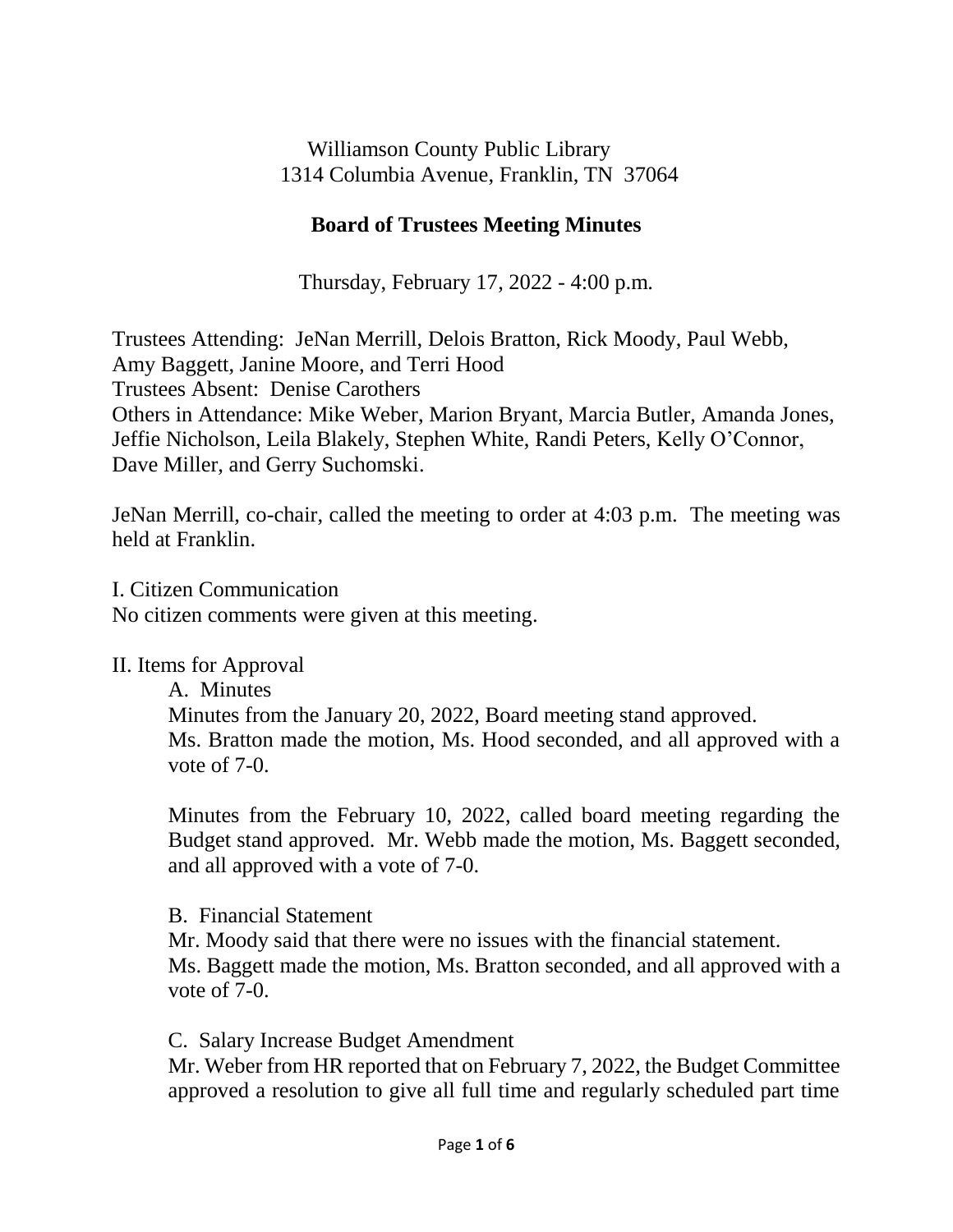Williamson County Public Library 1314 Columbia Avenue, Franklin, TN 37064

# **Board of Trustees Meeting Minutes**

Thursday, February 17, 2022 - 4:00 p.m.

Trustees Attending: JeNan Merrill, Delois Bratton, Rick Moody, Paul Webb, Amy Baggett, Janine Moore, and Terri Hood Trustees Absent: Denise Carothers Others in Attendance: Mike Weber, Marion Bryant, Marcia Butler, Amanda Jones, Jeffie Nicholson, Leila Blakely, Stephen White, Randi Peters, Kelly O'Connor, Dave Miller, and Gerry Suchomski.

JeNan Merrill, co-chair, called the meeting to order at 4:03 p.m. The meeting was held at Franklin.

I. Citizen Communication

No citizen comments were given at this meeting.

II. Items for Approval

A. Minutes Minutes from the January 20, 2022, Board meeting stand approved. Ms. Bratton made the motion, Ms. Hood seconded, and all approved with a vote of 7-0.

Minutes from the February 10, 2022, called board meeting regarding the Budget stand approved. Mr. Webb made the motion, Ms. Baggett seconded, and all approved with a vote of 7-0.

B. Financial Statement

Mr. Moody said that there were no issues with the financial statement. Ms. Baggett made the motion, Ms. Bratton seconded, and all approved with a vote of 7-0.

C. Salary Increase Budget Amendment

Mr. Weber from HR reported that on February 7, 2022, the Budget Committee approved a resolution to give all full time and regularly scheduled part time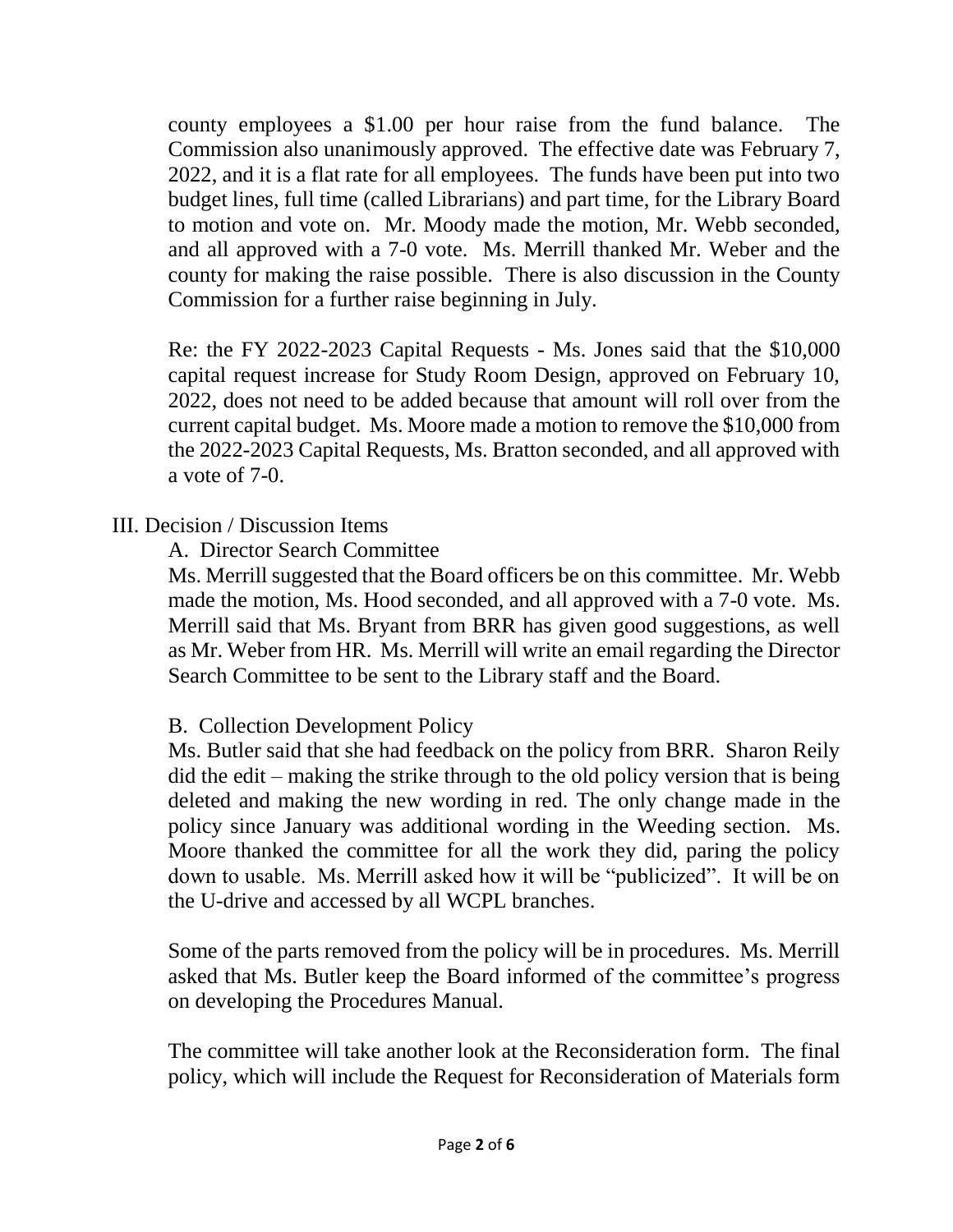county employees a \$1.00 per hour raise from the fund balance. The Commission also unanimously approved. The effective date was February 7, 2022, and it is a flat rate for all employees. The funds have been put into two budget lines, full time (called Librarians) and part time, for the Library Board to motion and vote on. Mr. Moody made the motion, Mr. Webb seconded, and all approved with a 7-0 vote. Ms. Merrill thanked Mr. Weber and the county for making the raise possible. There is also discussion in the County Commission for a further raise beginning in July.

Re: the FY 2022-2023 Capital Requests - Ms. Jones said that the \$10,000 capital request increase for Study Room Design, approved on February 10, 2022, does not need to be added because that amount will roll over from the current capital budget. Ms. Moore made a motion to remove the \$10,000 from the 2022-2023 Capital Requests, Ms. Bratton seconded, and all approved with a vote of 7-0.

# III. Decision / Discussion Items

A. Director Search Committee

Ms. Merrill suggested that the Board officers be on this committee. Mr. Webb made the motion, Ms. Hood seconded, and all approved with a 7-0 vote. Ms. Merrill said that Ms. Bryant from BRR has given good suggestions, as well as Mr. Weber from HR. Ms. Merrill will write an email regarding the Director Search Committee to be sent to the Library staff and the Board.

## B. Collection Development Policy

Ms. Butler said that she had feedback on the policy from BRR. Sharon Reily did the edit – making the strike through to the old policy version that is being deleted and making the new wording in red. The only change made in the policy since January was additional wording in the Weeding section. Ms. Moore thanked the committee for all the work they did, paring the policy down to usable. Ms. Merrill asked how it will be "publicized". It will be on the U-drive and accessed by all WCPL branches.

Some of the parts removed from the policy will be in procedures. Ms. Merrill asked that Ms. Butler keep the Board informed of the committee's progress on developing the Procedures Manual.

The committee will take another look at the Reconsideration form. The final policy, which will include the Request for Reconsideration of Materials form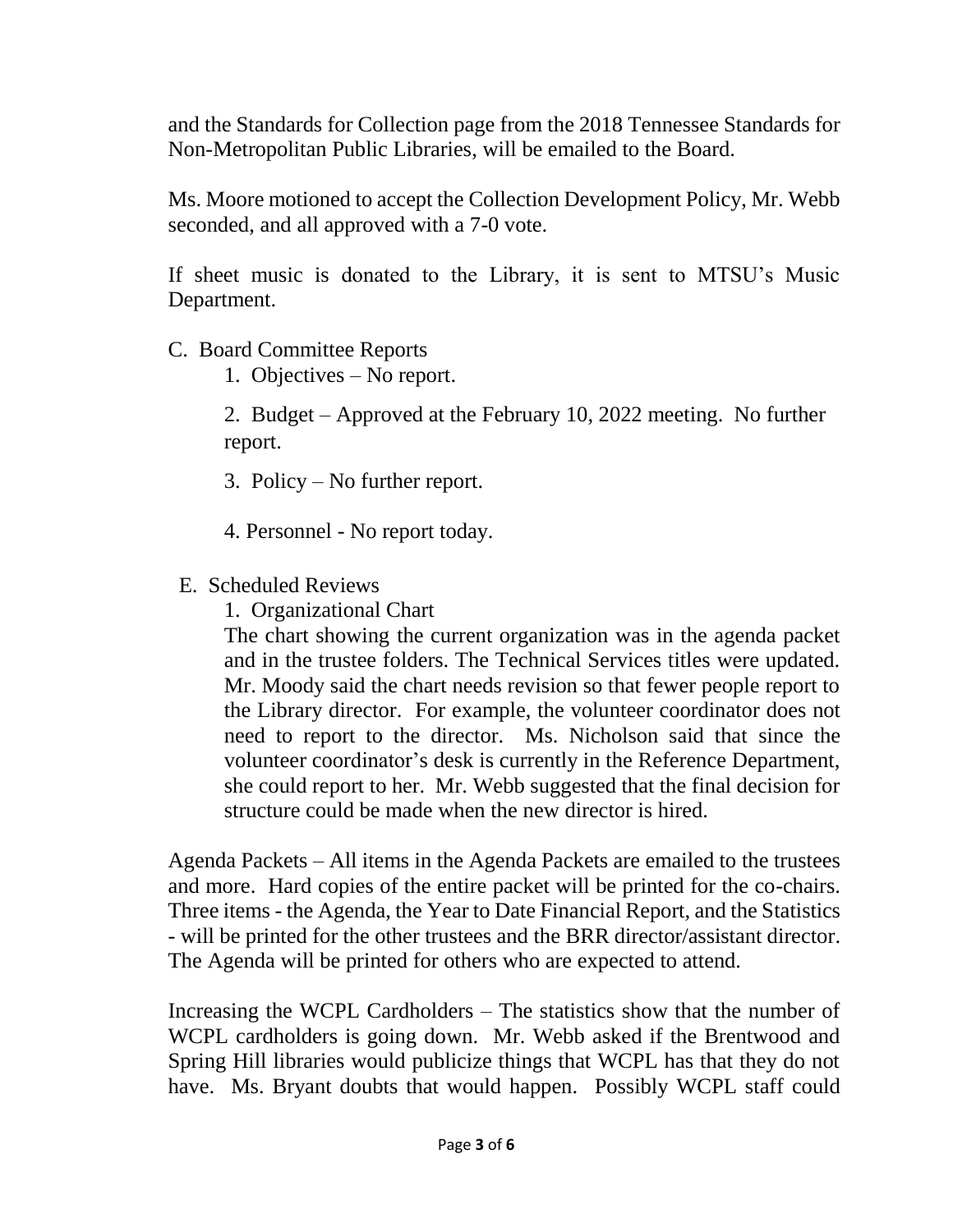and the Standards for Collection page from the 2018 Tennessee Standards for Non-Metropolitan Public Libraries, will be emailed to the Board.

Ms. Moore motioned to accept the Collection Development Policy, Mr. Webb seconded, and all approved with a 7-0 vote.

If sheet music is donated to the Library, it is sent to MTSU's Music Department.

- C. Board Committee Reports
	- 1. Objectives No report.

2. Budget – Approved at the February 10, 2022 meeting. No further report.

- 3. Policy No further report.
- 4. Personnel No report today.
- E. Scheduled Reviews
	- 1. Organizational Chart

The chart showing the current organization was in the agenda packet and in the trustee folders. The Technical Services titles were updated. Mr. Moody said the chart needs revision so that fewer people report to the Library director. For example, the volunteer coordinator does not need to report to the director. Ms. Nicholson said that since the volunteer coordinator's desk is currently in the Reference Department, she could report to her. Mr. Webb suggested that the final decision for structure could be made when the new director is hired.

Agenda Packets – All items in the Agenda Packets are emailed to the trustees and more. Hard copies of the entire packet will be printed for the co-chairs. Three items - the Agenda, the Year to Date Financial Report, and the Statistics - will be printed for the other trustees and the BRR director/assistant director. The Agenda will be printed for others who are expected to attend.

Increasing the WCPL Cardholders – The statistics show that the number of WCPL cardholders is going down. Mr. Webb asked if the Brentwood and Spring Hill libraries would publicize things that WCPL has that they do not have. Ms. Bryant doubts that would happen. Possibly WCPL staff could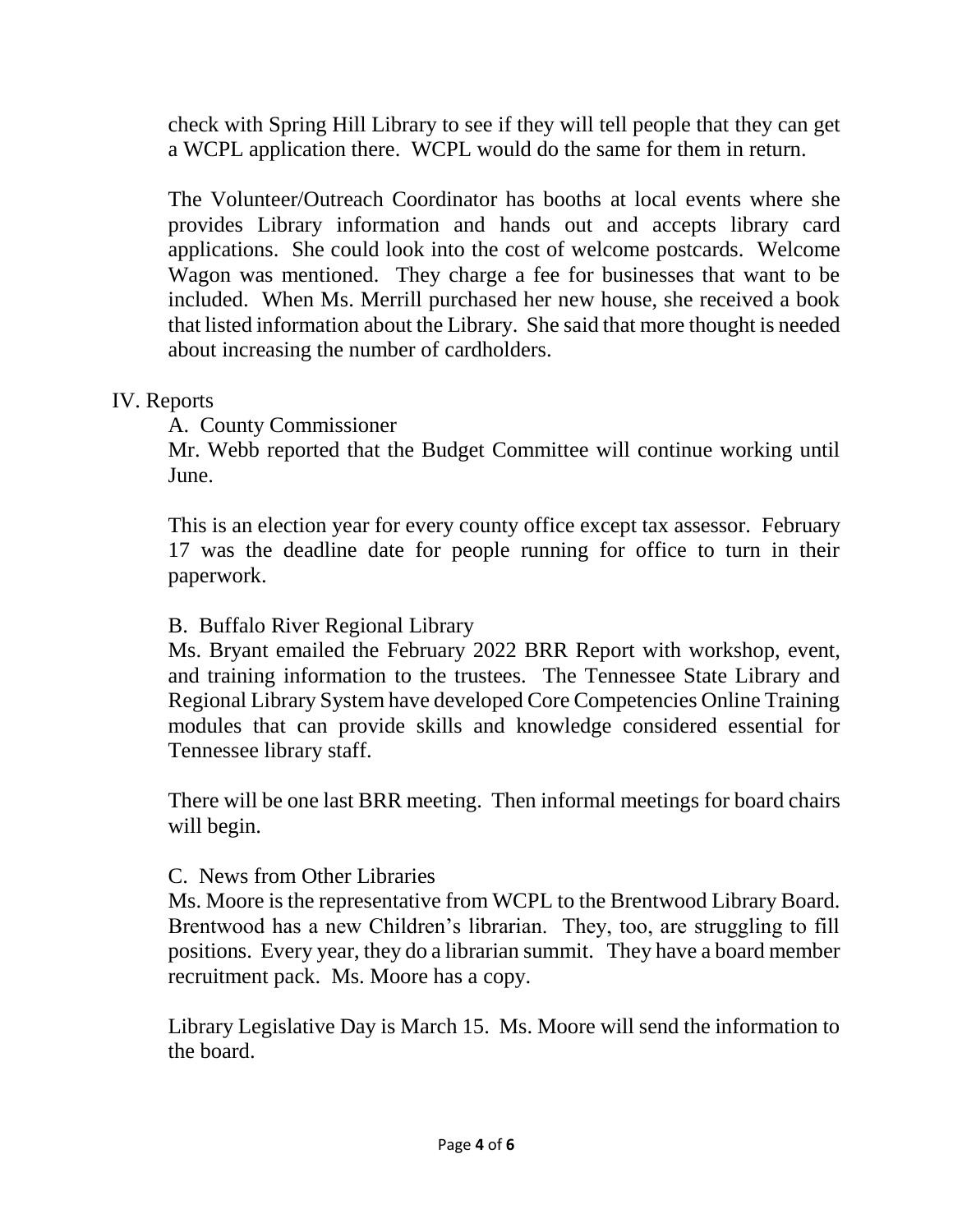check with Spring Hill Library to see if they will tell people that they can get a WCPL application there. WCPL would do the same for them in return.

The Volunteer/Outreach Coordinator has booths at local events where she provides Library information and hands out and accepts library card applications. She could look into the cost of welcome postcards. Welcome Wagon was mentioned. They charge a fee for businesses that want to be included. When Ms. Merrill purchased her new house, she received a book that listed information about the Library. She said that more thought is needed about increasing the number of cardholders.

### IV. Reports

A. County Commissioner

Mr. Webb reported that the Budget Committee will continue working until June.

This is an election year for every county office except tax assessor. February 17 was the deadline date for people running for office to turn in their paperwork.

#### B. Buffalo River Regional Library

Ms. Bryant emailed the February 2022 BRR Report with workshop, event, and training information to the trustees. The Tennessee State Library and Regional Library System have developed Core Competencies Online Training modules that can provide skills and knowledge considered essential for Tennessee library staff.

There will be one last BRR meeting. Then informal meetings for board chairs will begin.

#### C. News from Other Libraries

Ms. Moore is the representative from WCPL to the Brentwood Library Board. Brentwood has a new Children's librarian. They, too, are struggling to fill positions. Every year, they do a librarian summit. They have a board member recruitment pack. Ms. Moore has a copy.

Library Legislative Day is March 15. Ms. Moore will send the information to the board.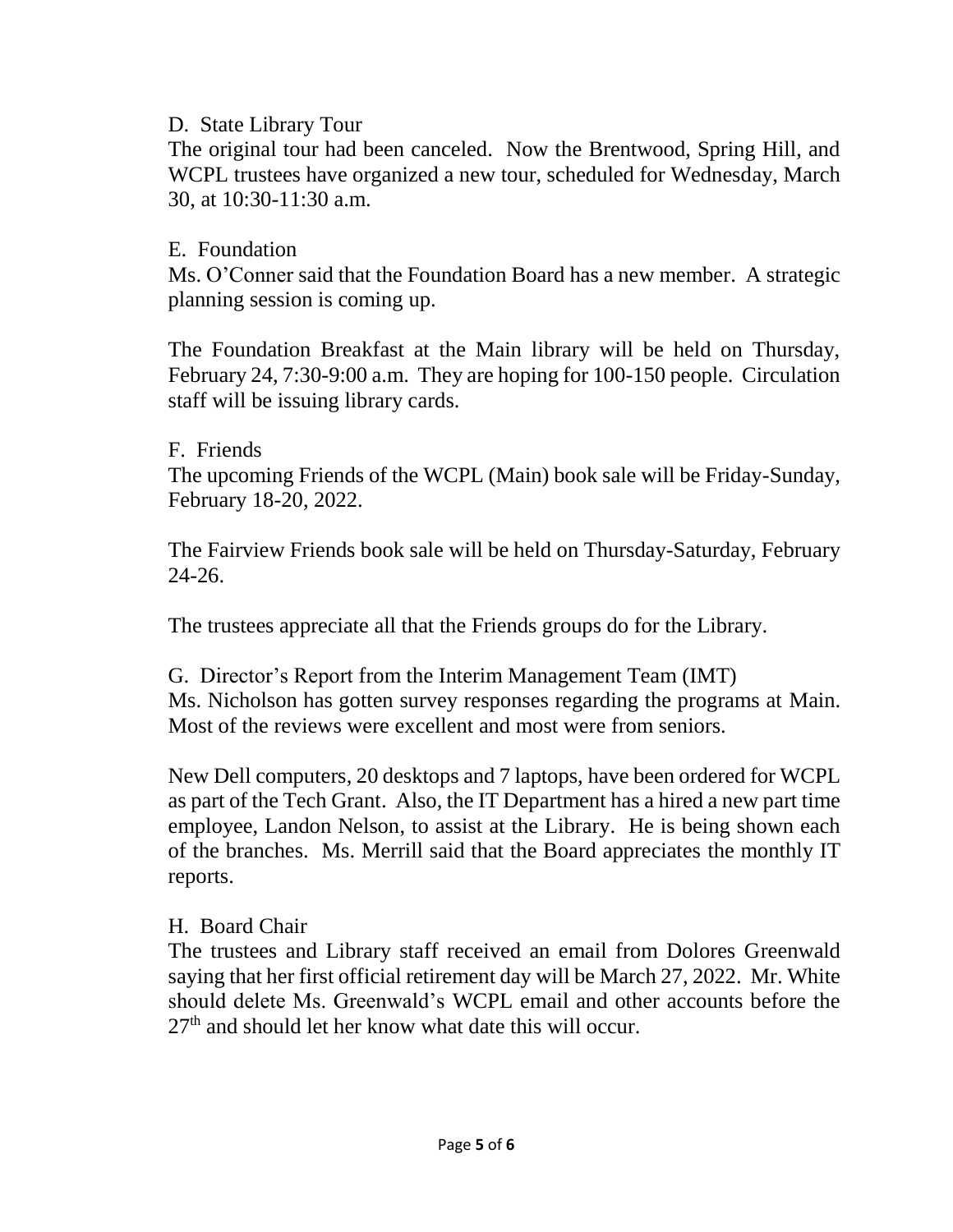D. State Library Tour

The original tour had been canceled. Now the Brentwood, Spring Hill, and WCPL trustees have organized a new tour, scheduled for Wednesday, March 30, at 10:30-11:30 a.m.

## E. Foundation

Ms. O'Conner said that the Foundation Board has a new member. A strategic planning session is coming up.

The Foundation Breakfast at the Main library will be held on Thursday, February 24, 7:30-9:00 a.m. They are hoping for 100-150 people. Circulation staff will be issuing library cards.

### F. Friends

The upcoming Friends of the WCPL (Main) book sale will be Friday-Sunday, February 18-20, 2022.

The Fairview Friends book sale will be held on Thursday-Saturday, February 24-26.

The trustees appreciate all that the Friends groups do for the Library.

G. Director's Report from the Interim Management Team (IMT) Ms. Nicholson has gotten survey responses regarding the programs at Main. Most of the reviews were excellent and most were from seniors.

New Dell computers, 20 desktops and 7 laptops, have been ordered for WCPL as part of the Tech Grant. Also, the IT Department has a hired a new part time employee, Landon Nelson, to assist at the Library. He is being shown each of the branches. Ms. Merrill said that the Board appreciates the monthly IT reports.

## H. Board Chair

The trustees and Library staff received an email from Dolores Greenwald saying that her first official retirement day will be March 27, 2022. Mr. White should delete Ms. Greenwald's WCPL email and other accounts before the 27<sup>th</sup> and should let her know what date this will occur.